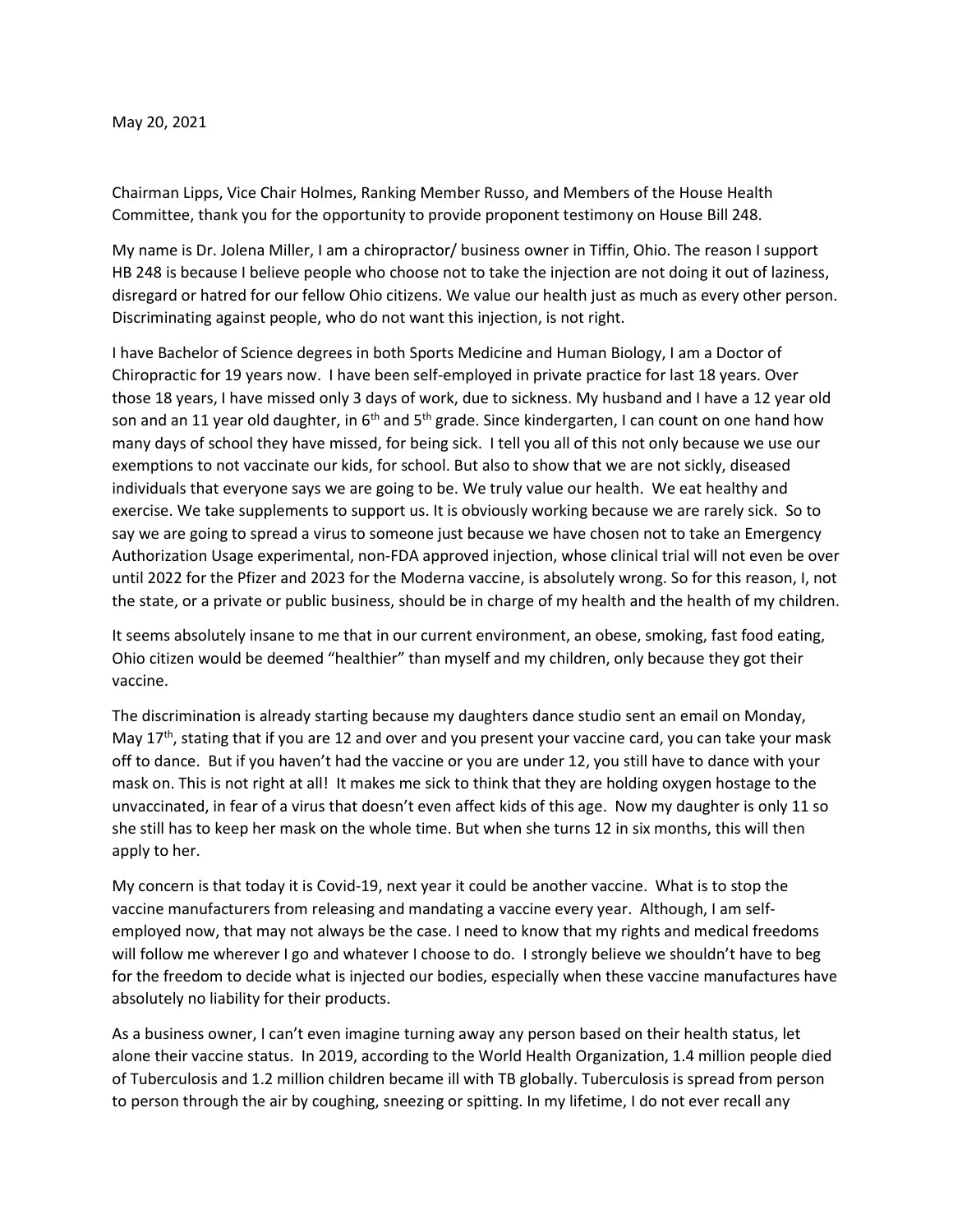## May 20, 2021

Chairman Lipps, Vice Chair Holmes, Ranking Member Russo, and Members of the House Health Committee, thank you for the opportunity to provide proponent testimony on House Bill 248.

My name is Dr. Jolena Miller, I am a chiropractor/ business owner in Tiffin, Ohio. The reason I support HB 248 is because I believe people who choose not to take the injection are not doing it out of laziness, disregard or hatred for our fellow Ohio citizens. We value our health just as much as every other person. Discriminating against people, who do not want this injection, is not right.

I have Bachelor of Science degrees in both Sports Medicine and Human Biology, I am a Doctor of Chiropractic for 19 years now. I have been self-employed in private practice for last 18 years. Over those 18 years, I have missed only 3 days of work, due to sickness. My husband and I have a 12 year old son and an 11 year old daughter, in 6<sup>th</sup> and 5<sup>th</sup> grade. Since kindergarten, I can count on one hand how many days of school they have missed, for being sick. I tell you all of this not only because we use our exemptions to not vaccinate our kids, for school. But also to show that we are not sickly, diseased individuals that everyone says we are going to be. We truly value our health. We eat healthy and exercise. We take supplements to support us. It is obviously working because we are rarely sick. So to say we are going to spread a virus to someone just because we have chosen not to take an Emergency Authorization Usage experimental, non-FDA approved injection, whose clinical trial will not even be over until 2022 for the Pfizer and 2023 for the Moderna vaccine, is absolutely wrong. So for this reason, I, not the state, or a private or public business, should be in charge of my health and the health of my children.

It seems absolutely insane to me that in our current environment, an obese, smoking, fast food eating, Ohio citizen would be deemed "healthier" than myself and my children, only because they got their vaccine.

The discrimination is already starting because my daughters dance studio sent an email on Monday, May 17<sup>th</sup>, stating that if you are 12 and over and you present your vaccine card, you can take your mask off to dance. But if you haven't had the vaccine or you are under 12, you still have to dance with your mask on. This is not right at all! It makes me sick to think that they are holding oxygen hostage to the unvaccinated, in fear of a virus that doesn't even affect kids of this age. Now my daughter is only 11 so she still has to keep her mask on the whole time. But when she turns 12 in six months, this will then apply to her.

My concern is that today it is Covid-19, next year it could be another vaccine. What is to stop the vaccine manufacturers from releasing and mandating a vaccine every year. Although, I am selfemployed now, that may not always be the case. I need to know that my rights and medical freedoms will follow me wherever I go and whatever I choose to do. I strongly believe we shouldn't have to beg for the freedom to decide what is injected our bodies, especially when these vaccine manufactures have absolutely no liability for their products.

As a business owner, I can't even imagine turning away any person based on their health status, let alone their vaccine status. In 2019, according to the World Health Organization, 1.4 million people died of Tuberculosis and 1.2 million children became ill with TB globally. Tuberculosis is spread from person to person through the air by coughing, sneezing or spitting. In my lifetime, I do not ever recall any